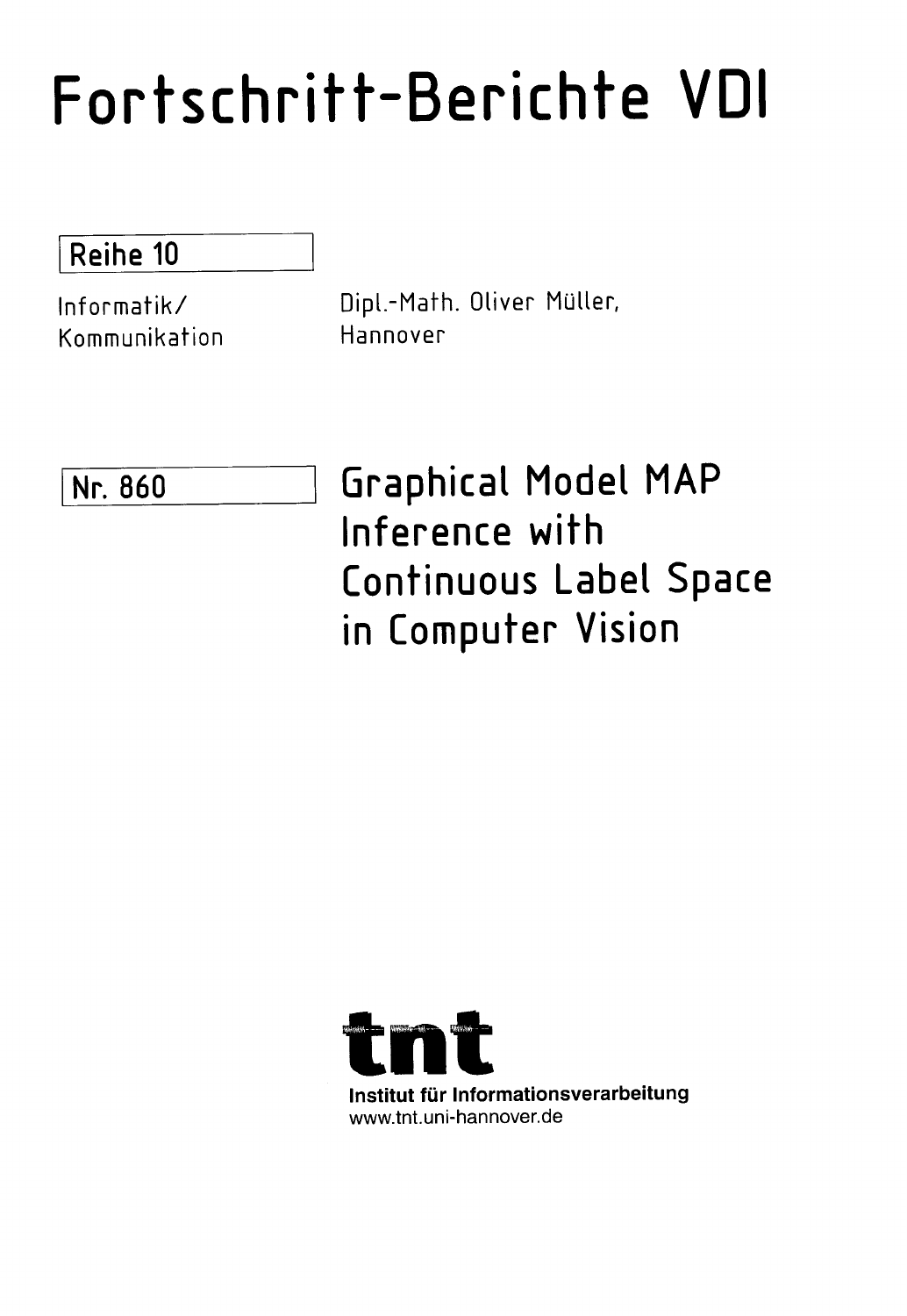## Fortschritt-Berichte VDI

## Reihe 10

Kommunikation Hannover

Informatik/ Dipl.-Mafh. Oliver Muller,

Nr. 860 Graphical Model MAP Inference with Continuous Label Space in Computer Vision

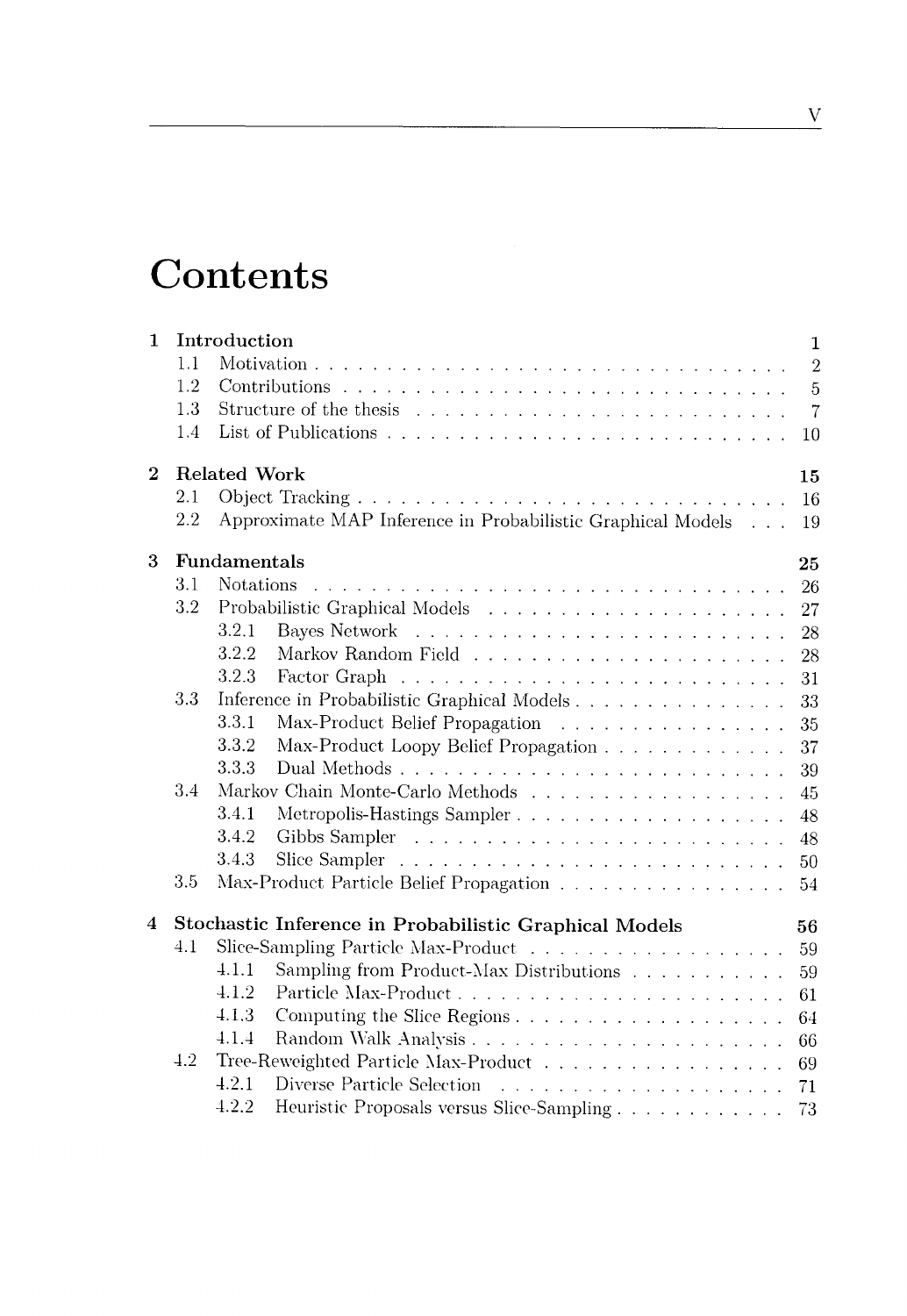## **Contents**

| 1              | 1.1<br>1.2<br>1.3<br>1.4                                     | Introduction<br>10                                                                            |                                                                                       |    |  |  |  |  |
|----------------|--------------------------------------------------------------|-----------------------------------------------------------------------------------------------|---------------------------------------------------------------------------------------|----|--|--|--|--|
| $\overline{2}$ | 2.1<br>2.2                                                   | Related Work<br>15<br>16<br>Approximate MAP Inference in Probabilistic Graphical Models<br>19 |                                                                                       |    |  |  |  |  |
| 3              |                                                              | Fundamentals<br>25                                                                            |                                                                                       |    |  |  |  |  |
|                | 3.1                                                          | <b>Notations</b>                                                                              |                                                                                       | 26 |  |  |  |  |
|                | $3.2\,$                                                      |                                                                                               |                                                                                       | 27 |  |  |  |  |
|                |                                                              | 3.2.1                                                                                         |                                                                                       | 28 |  |  |  |  |
|                |                                                              | 3.2.2                                                                                         |                                                                                       | 28 |  |  |  |  |
|                |                                                              | 3.2.3                                                                                         | Factor Graph<br>a de la caractería de la caractería de la caractería de la caractería | 31 |  |  |  |  |
|                | 33                                                           |                                                                                               | Inference in Probabilistic Graphical Models                                           | 33 |  |  |  |  |
|                |                                                              | 3.3.1                                                                                         | Max-Product Belief Propagation                                                        | 35 |  |  |  |  |
|                |                                                              | 3.3.2                                                                                         | Max-Product Loopy Belief Propagation                                                  | 37 |  |  |  |  |
|                |                                                              | 3.3.3                                                                                         |                                                                                       | 39 |  |  |  |  |
|                | 3.4                                                          |                                                                                               | Markov Chain Monte-Carlo Methods $\ldots \ldots \ldots \ldots \ldots \ldots \ldots$   | 45 |  |  |  |  |
|                |                                                              | 3.4.1                                                                                         |                                                                                       | 48 |  |  |  |  |
|                |                                                              | 3.4.2                                                                                         |                                                                                       | 48 |  |  |  |  |
|                |                                                              | 3.4.3                                                                                         |                                                                                       | 50 |  |  |  |  |
|                | 3.5                                                          |                                                                                               | Max-Product Particle Belief Propagation                                               | 54 |  |  |  |  |
| 4              | Stochastic Inference in Probabilistic Graphical Models<br>56 |                                                                                               |                                                                                       |    |  |  |  |  |
|                | 4.1                                                          |                                                                                               |                                                                                       | 59 |  |  |  |  |
|                |                                                              | 4.1.1                                                                                         | Sampling from Product-Max Distributions $\ldots \ldots \ldots \ldots$                 | 59 |  |  |  |  |
|                |                                                              | 4.1.2                                                                                         |                                                                                       | 61 |  |  |  |  |
|                |                                                              | 4.1.3                                                                                         |                                                                                       | 64 |  |  |  |  |
|                |                                                              | 4.1.4                                                                                         |                                                                                       | 66 |  |  |  |  |
|                | 4.2                                                          |                                                                                               | Tree-Reweighted Particle Max-Product                                                  | 69 |  |  |  |  |
|                |                                                              | 4.2.1                                                                                         |                                                                                       | 71 |  |  |  |  |
|                |                                                              | 4.2.2                                                                                         |                                                                                       | 73 |  |  |  |  |
|                |                                                              |                                                                                               |                                                                                       |    |  |  |  |  |